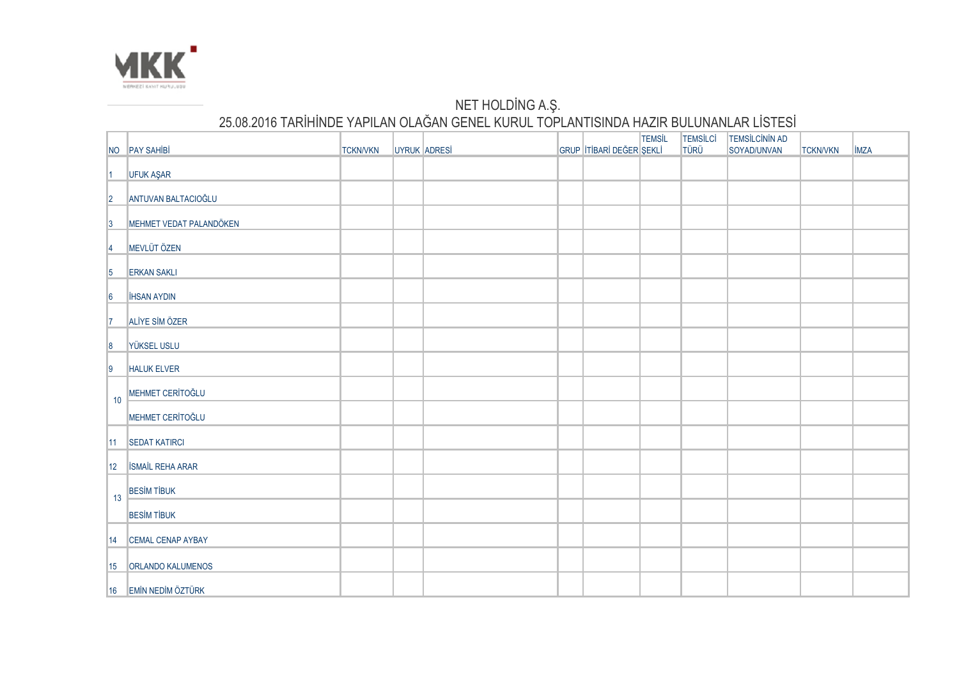

## NET HOLDING A.Ş. 25.08.2016 TARİHİNDE YAPILAN OLAĞAN GENEL KURUL TOPLANTISINDA HAZIR BULUNANLAR LİSTESİ

|                 | NO PAY SAHIBI            | <b>TCKN/VKN</b> | UYRUK ADRESİ |  | GRUP ITIBARI DEĞER ŞEKLI | <b>TEMSIL</b> | <b>TEMSILCI</b><br><b>TÜRÜ</b> | <b>TEMSILCININ AD</b><br>SOYAD/UNVAN | <b>TCKN/VKN</b> | <b>IMZA</b> |
|-----------------|--------------------------|-----------------|--------------|--|--------------------------|---------------|--------------------------------|--------------------------------------|-----------------|-------------|
| $\vert$ 1       | UFUK AŞAR                |                 |              |  |                          |               |                                |                                      |                 |             |
| 2               | ANTUVAN BALTACIOĞLU      |                 |              |  |                          |               |                                |                                      |                 |             |
| 3               | MEHMET VEDAT PALANDÖKEN  |                 |              |  |                          |               |                                |                                      |                 |             |
| 14              | MEVLÜT ÖZEN              |                 |              |  |                          |               |                                |                                      |                 |             |
| $\vert 5 \vert$ | <b>ERKAN SAKLI</b>       |                 |              |  |                          |               |                                |                                      |                 |             |
| 6               | <b>IHSAN AYDIN</b>       |                 |              |  |                          |               |                                |                                      |                 |             |
| $\mathsf{I}7$   | ALİYE SİM ÖZER           |                 |              |  |                          |               |                                |                                      |                 |             |
| 8               | YÜKSEL USLU              |                 |              |  |                          |               |                                |                                      |                 |             |
| 9               | <b>HALUK ELVER</b>       |                 |              |  |                          |               |                                |                                      |                 |             |
|                 | MEHMET CERÍTOĞLU         |                 |              |  |                          |               |                                |                                      |                 |             |
| 10              | MEHMET CERÍTOĞLU         |                 |              |  |                          |               |                                |                                      |                 |             |
| $ 11\rangle$    | SEDAT KATIRCI            |                 |              |  |                          |               |                                |                                      |                 |             |
| 12              | <b>ISMAIL REHA ARAR</b>  |                 |              |  |                          |               |                                |                                      |                 |             |
|                 | <b>BESIM TIBUK</b>       |                 |              |  |                          |               |                                |                                      |                 |             |
| 13              | <b>BESIM TIBUK</b>       |                 |              |  |                          |               |                                |                                      |                 |             |
| 14              | <b>CEMAL CENAP AYBAY</b> |                 |              |  |                          |               |                                |                                      |                 |             |
| 15              | <b>ORLANDO KALUMENOS</b> |                 |              |  |                          |               |                                |                                      |                 |             |
|                 | 16 EMİN NEDİM ÖZTÜRK     |                 |              |  |                          |               |                                |                                      |                 |             |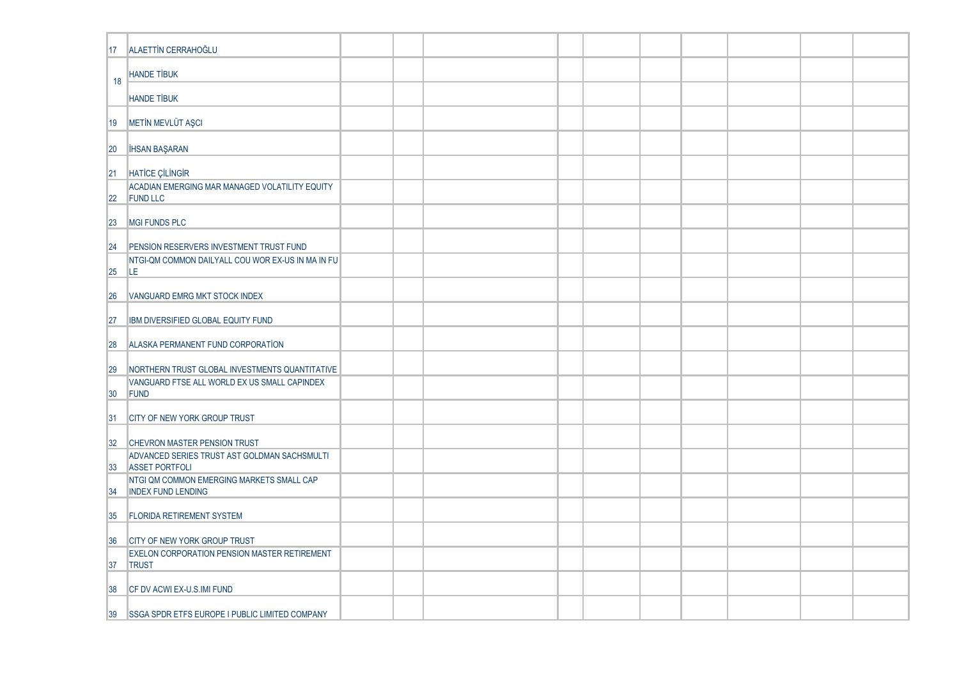| 17           | ALAETTIN CERRAHOĞLU                                                    |  |  |  |  |  |
|--------------|------------------------------------------------------------------------|--|--|--|--|--|
| 18           | <b>HANDE TİBUK</b>                                                     |  |  |  |  |  |
|              | <b>HANDE TİBUK</b>                                                     |  |  |  |  |  |
| 19           | METIN MEVLÜT AŞCI                                                      |  |  |  |  |  |
| 20           | <b>IHSAN BAŞARAN</b>                                                   |  |  |  |  |  |
| 21           | <b>HATICE ÇİLİNGİR</b>                                                 |  |  |  |  |  |
| 22           | ACADIAN EMERGING MAR MANAGED VOLATILITY EQUITY<br><b>FUND LLC</b>      |  |  |  |  |  |
| 23           | <b>MGI FUNDS PLC</b>                                                   |  |  |  |  |  |
| 24           | PENSION RESERVERS INVESTMENT TRUST FUND                                |  |  |  |  |  |
| 25           | NTGI-QM COMMON DAILYALL COU WOR EX-US IN MA IN FU<br>ILE.              |  |  |  |  |  |
| 26           | VANGUARD EMRG MKT STOCK INDEX                                          |  |  |  |  |  |
| 27           | IBM DIVERSIFIED GLOBAL EQUITY FUND                                     |  |  |  |  |  |
| 28           | ALASKA PERMANENT FUND CORPORATION                                      |  |  |  |  |  |
| 29           | NORTHERN TRUST GLOBAL INVESTMENTS QUANTITATIVE                         |  |  |  |  |  |
| 30           | VANGUARD FTSE ALL WORLD EX US SMALL CAPINDEX<br>FUND                   |  |  |  |  |  |
| 31           | <b>CITY OF NEW YORK GROUP TRUST</b>                                    |  |  |  |  |  |
| 32           | CHEVRON MASTER PENSION TRUST                                           |  |  |  |  |  |
| $ 33\rangle$ | ADVANCED SERIES TRUST AST GOLDMAN SACHSMULTI<br><b>ASSET PORTFOLI</b>  |  |  |  |  |  |
| 134          | NTGI QM COMMON EMERGING MARKETS SMALL CAP<br><b>INDEX FUND LENDING</b> |  |  |  |  |  |
| 35           | <b>FLORIDA RETIREMENT SYSTEM</b>                                       |  |  |  |  |  |
| 36           | <b>CITY OF NEW YORK GROUP TRUST</b>                                    |  |  |  |  |  |
| 37           | <b>EXELON CORPORATION PENSION MASTER RETIREMENT</b><br><b>TRUST</b>    |  |  |  |  |  |
| 38           | CF DV ACWI EX-U.S.IMI FUND                                             |  |  |  |  |  |
| 39           | <b>SSGA SPDR ETFS EUROPE I PUBLIC LIMITED COMPANY</b>                  |  |  |  |  |  |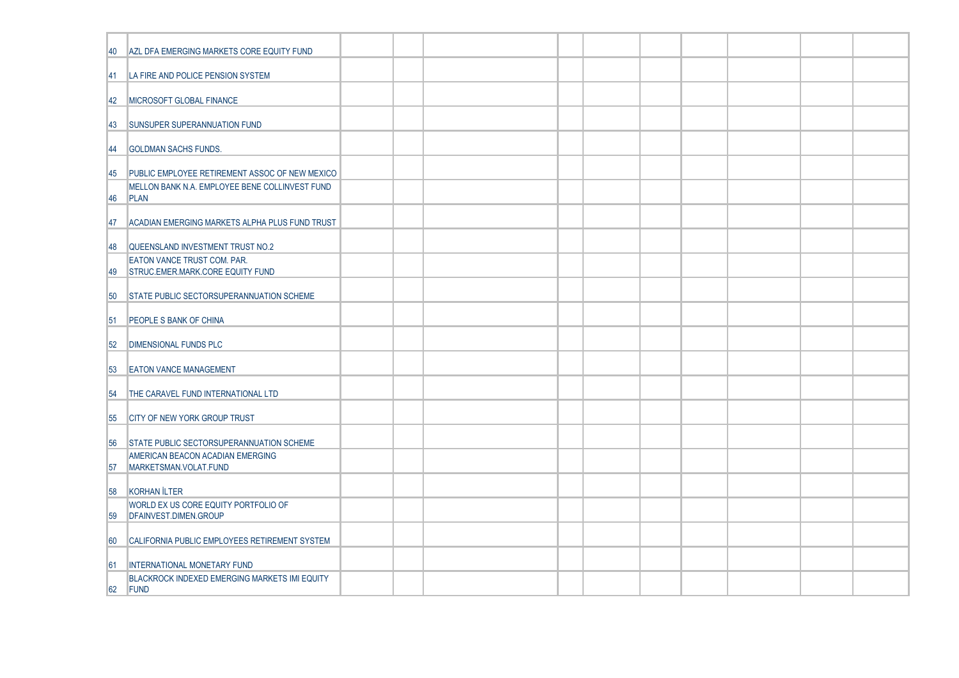| 40       | AZL DFA EMERGING MARKETS CORE EQUITY FUND                                            |  |  |  |  |  |  |
|----------|--------------------------------------------------------------------------------------|--|--|--|--|--|--|
| 141      | LA FIRE AND POLICE PENSION SYSTEM                                                    |  |  |  |  |  |  |
| 42       | <b>IMICROSOFT GLOBAL FINANCE</b>                                                     |  |  |  |  |  |  |
| 43       | SUNSUPER SUPERANNUATION FUND                                                         |  |  |  |  |  |  |
| 144      | <b>GOLDMAN SACHS FUNDS.</b>                                                          |  |  |  |  |  |  |
| 45       | PUBLIC EMPLOYEE RETIREMENT ASSOC OF NEW MEXICO                                       |  |  |  |  |  |  |
| 146      | MELLON BANK N.A. EMPLOYEE BENE COLLINVEST FUND<br>PLAN                               |  |  |  |  |  |  |
| 47       | ACADIAN EMERGING MARKETS ALPHA PLUS FUND TRUST                                       |  |  |  |  |  |  |
| ∣48      | QUEENSLAND INVESTMENT TRUST NO.2                                                     |  |  |  |  |  |  |
| 49       | EATON VANCE TRUST COM. PAR.<br>STRUC.EMER.MARK.CORE EQUITY FUND                      |  |  |  |  |  |  |
| 50       | STATE PUBLIC SECTORSUPERANNUATION SCHEME                                             |  |  |  |  |  |  |
| 51       | <b>PEOPLE S BANK OF CHINA</b>                                                        |  |  |  |  |  |  |
| 52       | <b>DIMENSIONAL FUNDS PLC</b>                                                         |  |  |  |  |  |  |
| 53       | <b>EATON VANCE MANAGEMENT</b>                                                        |  |  |  |  |  |  |
| 54       | THE CARAVEL FUND INTERNATIONAL LTD                                                   |  |  |  |  |  |  |
| 55       | <b>CITY OF NEW YORK GROUP TRUST</b>                                                  |  |  |  |  |  |  |
| 56       | <b>STATE PUBLIC SECTORSUPERANNUATION SCHEME</b>                                      |  |  |  |  |  |  |
| 57       | AMERICAN BEACON ACADIAN EMERGING<br>MARKETSMAN.VOLAT.FUND                            |  |  |  |  |  |  |
| 58       | KORHAN İLTER                                                                         |  |  |  |  |  |  |
| 59       | WORLD EX US CORE EQUITY PORTFOLIO OF<br>DFAINVEST.DIMEN.GROUP                        |  |  |  |  |  |  |
|          |                                                                                      |  |  |  |  |  |  |
| 60       | CALIFORNIA PUBLIC EMPLOYEES RETIREMENT SYSTEM                                        |  |  |  |  |  |  |
| 61<br>62 | INTERNATIONAL MONETARY FUND<br>BLACKROCK INDEXED EMERGING MARKETS IMI EQUITY<br>FUND |  |  |  |  |  |  |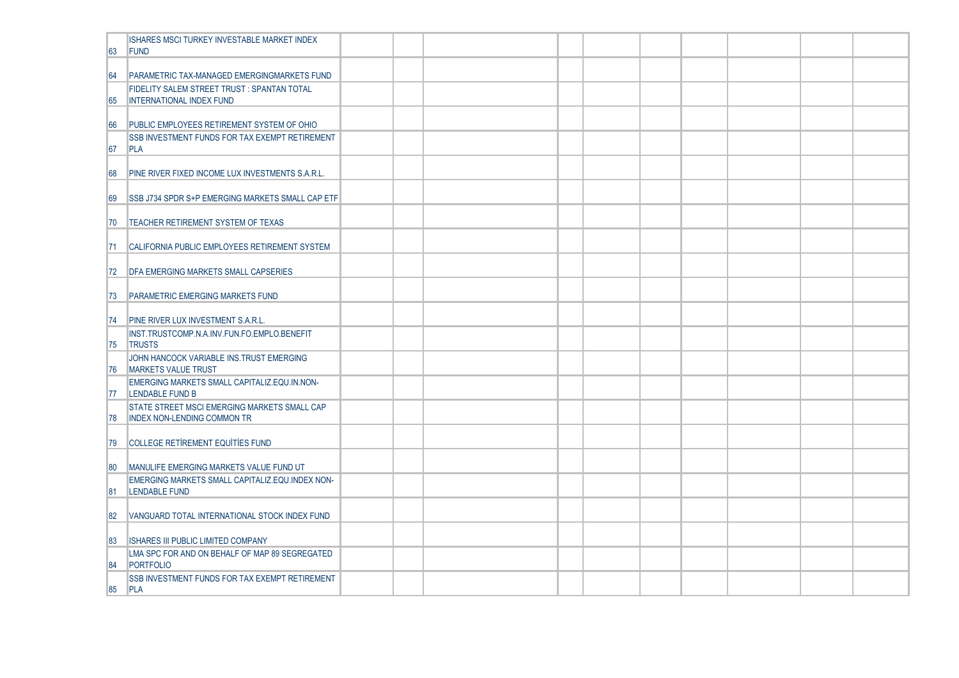| 63  | ISHARES MSCI TURKEY INVESTABLE MARKET INDEX<br><b>IFUND</b>                          |  |  |  |  |  |  |
|-----|--------------------------------------------------------------------------------------|--|--|--|--|--|--|
| 64  | PARAMETRIC TAX-MANAGED EMERGINGMARKETS FUND                                          |  |  |  |  |  |  |
| 165 | <b>FIDELITY SALEM STREET TRUST: SPANTAN TOTAL</b><br><b>INTERNATIONAL INDEX FUND</b> |  |  |  |  |  |  |
| 166 | <b>PUBLIC EMPLOYEES RETIREMENT SYSTEM OF OHIO</b>                                    |  |  |  |  |  |  |
| 67  | <b>SSB INVESTMENT FUNDS FOR TAX EXEMPT RETIREMENT</b><br>PLA                         |  |  |  |  |  |  |
| 68  | PINE RIVER FIXED INCOME LUX INVESTMENTS S.A.R.L.                                     |  |  |  |  |  |  |
| 69  | SSB J734 SPDR S+P EMERGING MARKETS SMALL CAP ETF                                     |  |  |  |  |  |  |
| 70  | TEACHER RETIREMENT SYSTEM OF TEXAS                                                   |  |  |  |  |  |  |
| 171 | <b>CALIFORNIA PUBLIC EMPLOYEES RETIREMENT SYSTEM</b>                                 |  |  |  |  |  |  |
| 72  | <b>DFA EMERGING MARKETS SMALL CAPSERIES</b>                                          |  |  |  |  |  |  |
| 173 | <b>PARAMETRIC EMERGING MARKETS FUND</b>                                              |  |  |  |  |  |  |
| 174 | <b>PINE RIVER LUX INVESTMENT S.A.R.L.</b>                                            |  |  |  |  |  |  |
| 75  | INST.TRUSTCOMP.N.A.INV.FUN.FO.EMPLO.BENEFIT<br><b>TRUSTS</b>                         |  |  |  |  |  |  |
| 176 | JOHN HANCOCK VARIABLE INS. TRUST EMERGING<br>MARKETS VALUE TRUST                     |  |  |  |  |  |  |
| 177 | EMERGING MARKETS SMALL CAPITALIZ.EQU.IN.NON-<br><b>LENDABLE FUND B</b>               |  |  |  |  |  |  |
| 178 | STATE STREET MSCI EMERGING MARKETS SMALL CAP<br><b>INDEX NON-LENDING COMMON TR</b>   |  |  |  |  |  |  |
| 79  | COLLEGE RETIREMENT EQUITIES FUND                                                     |  |  |  |  |  |  |
| 180 | MANULIFE EMERGING MARKETS VALUE FUND UT                                              |  |  |  |  |  |  |
| 81  | EMERGING MARKETS SMALL CAPITALIZ.EQU.INDEX NON-<br><b>LENDABLE FUND</b>              |  |  |  |  |  |  |
| 82  | VANGUARD TOTAL INTERNATIONAL STOCK INDEX FUND                                        |  |  |  |  |  |  |
| 83  | <b>ISHARES III PUBLIC LIMITED COMPANY</b>                                            |  |  |  |  |  |  |
| 84  | LMA SPC FOR AND ON BEHALF OF MAP 89 SEGREGATED<br>PORTFOLIO                          |  |  |  |  |  |  |
| 85  | <b>SSB INVESTMENT FUNDS FOR TAX EXEMPT RETIREMENT</b><br>PLA                         |  |  |  |  |  |  |